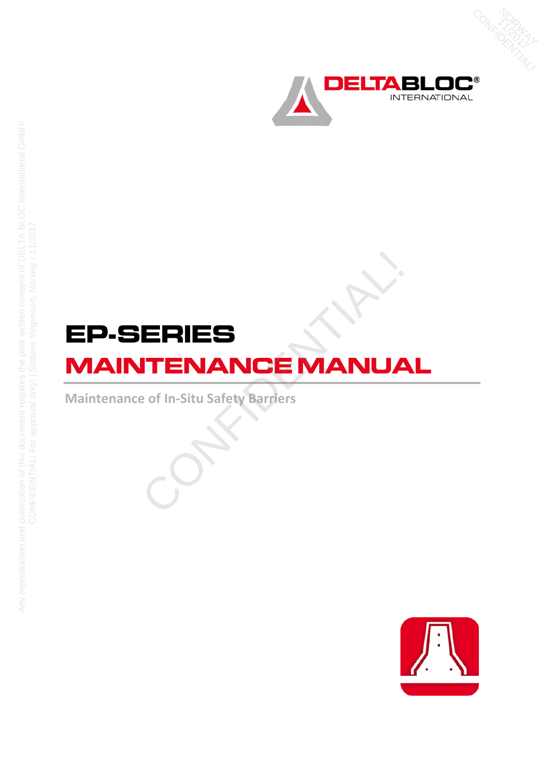

NORU<br>1794<br>OROTIL 17 AV

# ERIES<br>
ITENANCE MANUA<br>
e of In-Situ Safety Barriers<br>
CONFIDENTIAL

**Maintenance of In-Situ Safety Barriers**



Any reproduction and publication of this document requires the prior written consent of DELTA BLOC International GmbH!<br>CONFIDENTIAL! For approval only! | Statens Vegvesen, Norway | 11/2017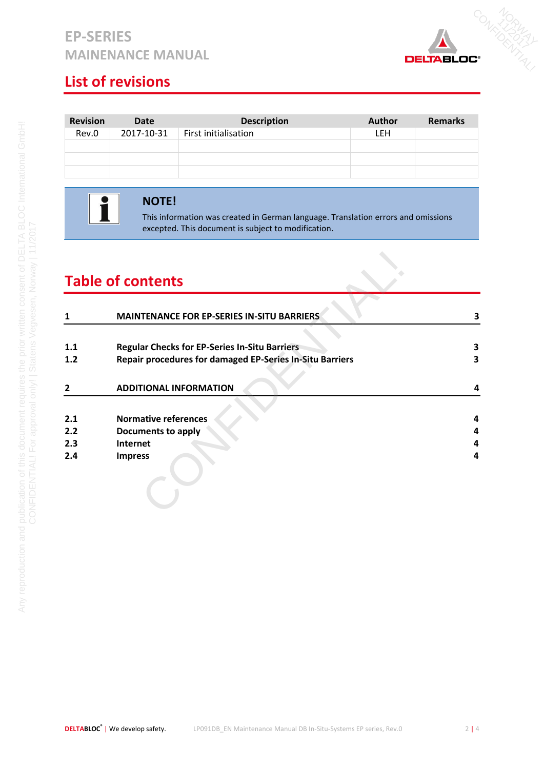# **EP-SERIES MAINENANCE MANUAL**



# **List of revisions**

| <b>Revision</b> | Date       | <b>Description</b>   | <b>Author</b> | <b>Remarks</b> |
|-----------------|------------|----------------------|---------------|----------------|
| Rev.0           | 2017-10-31 | First initialisation | <b>LEH</b>    |                |
|                 |            |                      |               |                |
|                 |            |                      |               |                |
|                 |            |                      |               |                |

T

### **NOTE!**

This information was created in German language. Translation errors and omissions excepted. This document is subject to modification.

# **Table of contents**

|     | <b>Table of contents</b>                                 |   |  |  |
|-----|----------------------------------------------------------|---|--|--|
|     | <b>MAINTENANCE FOR EP-SERIES IN-SITU BARRIERS</b>        | 3 |  |  |
| 1.1 | <b>Regular Checks for EP-Series In-Situ Barriers</b>     | 3 |  |  |
| 1.2 | Repair procedures for damaged EP-Series In-Situ Barriers | 3 |  |  |
| 2   | <b>ADDITIONAL INFORMATION</b>                            | 4 |  |  |
| 2.1 | <b>Normative references</b>                              | 4 |  |  |
| 2.2 | <b>Documents to apply</b>                                | 4 |  |  |
| 2.3 | Internet                                                 | 4 |  |  |
| 2.4 | <b>Impress</b>                                           | 4 |  |  |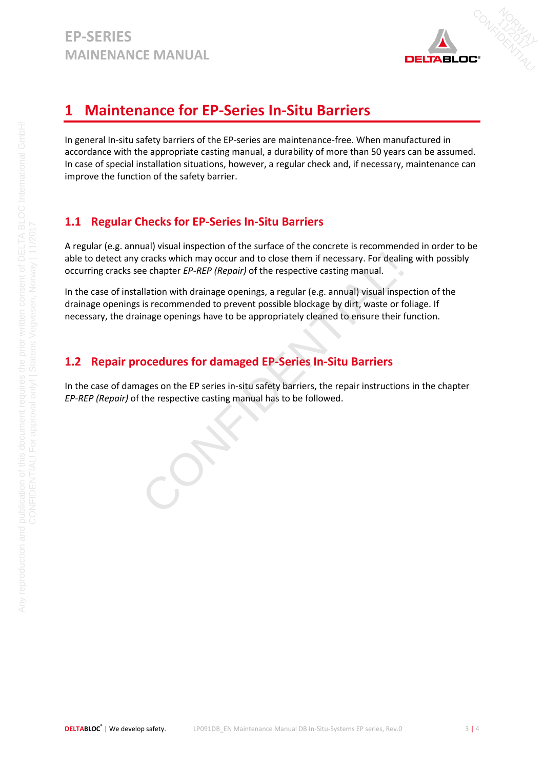

# <span id="page-2-0"></span>**1 Maintenance for EP-Series In-Situ Barriers**

In general In-situ safety barriers of the EP-series are maintenance-free. When manufactured in accordance with the appropriate casting manual, a durability of more than 50 years can be assumed. In case of special installation situations, however, a regular check and, if necessary, maintenance can improve the function of the safety barrier.

# <span id="page-2-1"></span>**1.1 Regular Checks for EP-Series In-Situ Barriers**

A regular (e.g. annual) visual inspection of the surface of the concrete is recommended in order to be able to detect any cracks which may occur and to close them if necessary. For dealing with possibly occurring cracks see chapter *EP-REP (Repair)* of the respective casting manual.

In the case of installation with drainage openings, a regular (e.g. annual) visual inspection of the drainage openings is recommended to prevent possible blockage by dirt, waste or foliage. If necessary, the drainage openings have to be appropriately cleaned to ensure their function. cracks which may occur and to close them if necessary. For dealine e chapter *EP-REP (Repair)* of the respective casting manual.<br>Illation with drainage openings, a regular (e.g. annual) visual insp is is recommended to pre

# <span id="page-2-2"></span>**1.2 Repair procedures for damaged EP-Series In-Situ Barriers**

In the case of damages on the EP series in-situ safety barriers, the repair instructions in the chapter *EP-REP (Repair)* of the respective casting manual has to be followed.